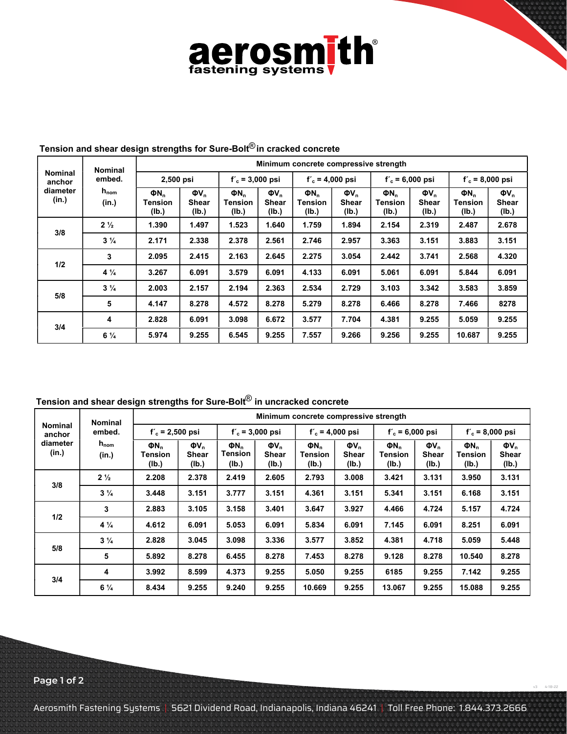# aerosm<sub>ith</sub>th®

| <b>Nominal</b><br>anchor<br>diameter<br>(in.) | <b>Nominal</b><br>embed.<br>$h_{\text{nom}}$<br>(in.) | Minimum concrete compressive strength |                                       |                                |                                |                                         |                                       |                                                           |                                                  |                                       |                              |  |  |
|-----------------------------------------------|-------------------------------------------------------|---------------------------------------|---------------------------------------|--------------------------------|--------------------------------|-----------------------------------------|---------------------------------------|-----------------------------------------------------------|--------------------------------------------------|---------------------------------------|------------------------------|--|--|
|                                               |                                                       | 2,500 psi                             |                                       | $f_c = 3,000$ psi              |                                | $f_c = 4,000$ psi                       |                                       | $f_c = 6,000$ psi                                         |                                                  | $f_c = 8,000$ psi                     |                              |  |  |
|                                               |                                                       | $\Phi N_n$<br>Tension<br>(Ib.)        | $\Phi V_{n}$<br><b>Shear</b><br>(lb.) | $\Phi N_n$<br>Tension<br>(Ib.) | $\Phi V_{n}$<br>Shear<br>(lb.) | $\Phi N_{n}$<br><b>Tension</b><br>(lb.) | $\Phi V_{n}$<br><b>Shear</b><br>(lb.) | $\mathbf{\Phi}$ N <sub>n</sub><br><b>Tension</b><br>(lb.) | $\mathbf{\Phi}$ V <sub>n</sub><br>Shear<br>(Ib.) | $\Phi N_n$<br><b>Tension</b><br>(Ib.) | $\Phi V_n$<br>Shear<br>(lb.) |  |  |
| 3/8                                           | $2\frac{1}{2}$                                        | 1.390                                 | 1.497                                 | 1.523                          | 1.640                          | 1.759                                   | 1.894                                 | 2.154                                                     | 2.319                                            | 2.487                                 | 2.678                        |  |  |
|                                               | $3\frac{1}{4}$                                        | 2.171                                 | 2.338                                 | 2.378                          | 2.561                          | 2.746                                   | 2.957                                 | 3.363                                                     | 3.151                                            | 3.883                                 | 3.151                        |  |  |
| 1/2                                           | 3                                                     | 2.095                                 | 2.415                                 | 2.163                          | 2.645                          | 2.275                                   | 3.054                                 | 2.442                                                     | 3.741                                            | 2.568                                 | 4.320                        |  |  |
|                                               | $4\frac{1}{4}$                                        | 3.267                                 | 6.091                                 | 3.579                          | 6.091                          | 4.133                                   | 6.091                                 | 5.061                                                     | 6.091                                            | 5.844                                 | 6.091                        |  |  |
| 5/8                                           | $3\frac{1}{4}$                                        | 2.003                                 | 2.157                                 | 2.194                          | 2.363                          | 2.534                                   | 2.729                                 | 3.103                                                     | 3.342                                            | 3.583                                 | 3.859                        |  |  |
|                                               | 5                                                     | 4.147                                 | 8.278                                 | 4.572                          | 8.278                          | 5.279                                   | 8.278                                 | 6.466                                                     | 8.278                                            | 7.466                                 | 8278                         |  |  |
| 3/4                                           | 4                                                     | 2.828                                 | 6.091                                 | 3.098                          | 6.672                          | 3.577                                   | 7.704                                 | 4.381                                                     | 9.255                                            | 5.059                                 | 9.255                        |  |  |
|                                               | $6\frac{1}{4}$                                        | 5.974                                 | 9.255                                 | 6.545                          | 9.255                          | 7.557                                   | 9.266                                 | 9.256                                                     | 9.255                                            | 10.687                                | 9.255                        |  |  |

### Tension and shear design strengths for Sure-Bolt<sup>®</sup>in cracked concrete

Tension and shear design strengths for Sure-Bolt<sup>®</sup> in uncracked concrete

| <b>Nominal</b><br>anchor<br>diameter<br>(in.) | <b>Nominal</b><br>embed.<br>$h_{\text{nom}}$<br>(in.) | Minimum concrete compressive strength |                              |                                |                                       |                                       |                                     |                                     |                              |                                       |                              |  |  |
|-----------------------------------------------|-------------------------------------------------------|---------------------------------------|------------------------------|--------------------------------|---------------------------------------|---------------------------------------|-------------------------------------|-------------------------------------|------------------------------|---------------------------------------|------------------------------|--|--|
|                                               |                                                       | $f_c = 2,500$ psi                     |                              | $f_c = 3,000$ psi              |                                       | $f_c = 4,000$ psi                     |                                     | $f_c = 6,000$ psi                   |                              | $f_c = 8,000$ psi                     |                              |  |  |
|                                               |                                                       | ΦN <sub>n</sub><br>Tension<br>(Ib.)   | $\Phi V_n$<br>Shear<br>(lb.) | $\Phi N_n$<br>Tension<br>(Ib.) | $\Phi V_{n}$<br><b>Shear</b><br>(lb.) | $\Phi N_n$<br><b>Tension</b><br>(Ib.) | $\Phi V_n$<br><b>Shear</b><br>(Ib.) | ΦN <sub>n</sub><br>Tension<br>(Ib.) | $\Phi V_n$<br>Shear<br>(Ib.) | $\Phi N_n$<br><b>Tension</b><br>(Ib.) | $\Phi V_n$<br>Shear<br>(lb.) |  |  |
| 3/8                                           | $2\frac{1}{2}$                                        | 2.208                                 | 2.378                        | 2.419                          | 2.605                                 | 2.793                                 | 3.008                               | 3.421                               | 3.131                        | 3.950                                 | 3.131                        |  |  |
|                                               | $3\frac{1}{4}$                                        | 3.448                                 | 3.151                        | 3.777                          | 3.151                                 | 4.361                                 | 3.151                               | 5.341                               | 3.151                        | 6.168                                 | 3.151                        |  |  |
| 1/2                                           | 3                                                     | 2.883                                 | 3.105                        | 3.158                          | 3.401                                 | 3.647                                 | 3.927                               | 4.466                               | 4.724                        | 5.157                                 | 4.724                        |  |  |
|                                               | $4\frac{1}{4}$                                        | 4.612                                 | 6.091                        | 5.053                          | 6.091                                 | 5.834                                 | 6.091                               | 7.145                               | 6.091                        | 8.251                                 | 6.091                        |  |  |
| 5/8                                           | $3\frac{1}{4}$                                        | 2.828                                 | 3.045                        | 3.098                          | 3.336                                 | 3.577                                 | 3.852                               | 4.381                               | 4.718                        | 5.059                                 | 5.448                        |  |  |
|                                               | 5                                                     | 5.892                                 | 8.278                        | 6.455                          | 8.278                                 | 7.453                                 | 8.278                               | 9.128                               | 8.278                        | 10.540                                | 8.278                        |  |  |
| 3/4                                           | 4                                                     | 3.992                                 | 8.599                        | 4.373                          | 9.255                                 | 5.050                                 | 9.255                               | 6185                                | 9.255                        | 7.142                                 | 9.255                        |  |  |
|                                               | $6\frac{1}{4}$                                        | 8.434                                 | 9.255                        | 9.240                          | 9.255                                 | 10.669                                | 9.255                               | 13.067                              | 9.255                        | 15.088                                | 9.255                        |  |  |